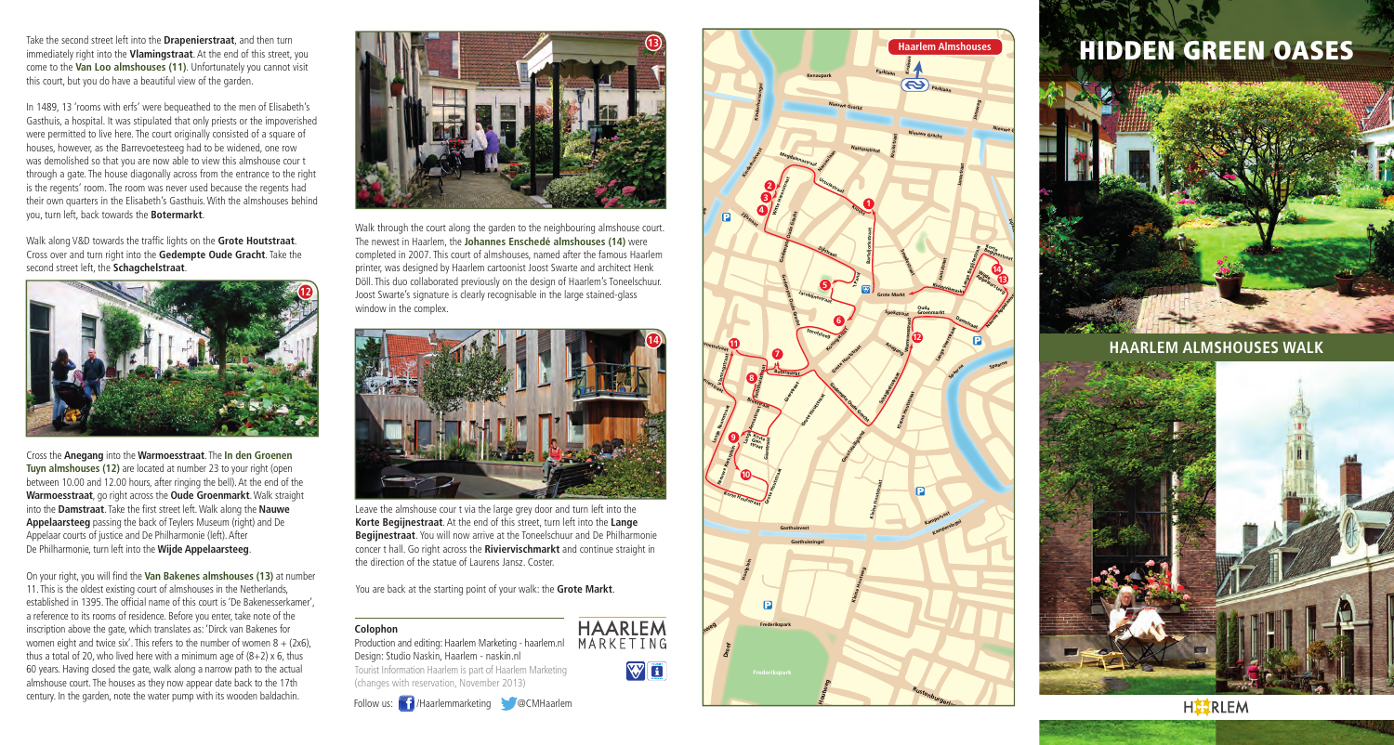Take the second street left into the **Drapenierstraat**, and then turn immediately right into the **Vlamingstraat**. At the end of this street, you come to the **Van Loo almshouses (11)**. Unfortunately you cannot visit this court, but you do have a beautiful view of the garden.

In 1489, 13 'rooms with erfs' were bequeathed to the men of Elisabeth's Gasthuis, a hospital. It was stipulated that only priests or the impoverished were permitted to live here. The court originally consisted of a square of houses, however, as the Barrevoetesteeg had to be widened, one row was demolished so that you are now able to view this almshouse cour t through a gate. The house diagonally across from the entrance to the right is the regents' room. The room was never used because the regents had their own quarters in the Elisabeth's Gasthuis. With the almshouses behind you, turn left, back towards the **Botermarkt**.

Walk along V&D towards the traffic lights on the **Grote Houtstraat**. Cross over and turn right into the **Gedempte Oude Gracht**. Take the second street left, the **Schagchelstraat**.



Cross the **Anegang** into the **Warmoesstraat**. The **In den Groenen Tuyn almshouses (12)** are located at number 23 to your right (open between 10.00 and 12.00 hours, after ringing the bell). At the end of the **Warmoesstraat**, go right across the **Oude Groenmarkt**. Walk straight into the **Damstraat**. Take the first street left. Walk along the **Nauwe Appelaarsteeg** passing the back of Teylers Museum (right) and De Appelaar courts of justice and De Philharmonie (left). After De Philharmonie, turn left into the **Wijde Appelaarsteeg**.

On your right, you will find the **Van Bakenes almshouses (13)** at number 11. This is the oldest existing court of almshouses in the Netherlands, established in 1395. The official name of this court is 'De Bakenesserkamer', a reference to its rooms of residence. Before you enter, take note of the inscription above the gate, which translates as: 'Dirck van Bakenes for women eight and twice six'. This refers to the number of women  $8 + (2x6)$ , thus a total of 20, who lived here with a minimum age of  $(8+2)$  x 6, thus 60 years. Having closed the gate, walk along a narrow path to the actual almshouse court. The houses as they now appear date back to the 17th century. In the garden, note the water pump with its wooden baldachin.



Walk through the court along the garden to the neighbouring almshouse court. The newest in Haarlem, the **Johannes Enschedé almshouses (14)** were completed in 2007. This court of almshouses, named after the famous Haarlem printer, was designed by Haarlem cartoonist Joost Swarte and architect Henk Döll. This duo collaborated previously on the design of Haarlem's Toneelschuur. Joost Swarte's signature is clearly recognisable in the large stained-glass window in the complex.



**Van Eedestraat** Leave the almshouse cour t via the large grey door and turn left into the **Korte Begijnestraat**. At the end of this street, turn left into the **Lange Begijnestraat**. You will now arrive at the Toneelschuur and De Philharmonie concer t hall. Go right across the **Riviervischmarkt** and continue straight in the direction of the statue of Laurens Jansz. Coster.

**WE** 

**HAARLEM** 

**Florapark Lorentzplein**

You are back at the starting point of your walk: the **Grote Markt**.

## **Colophon**

Production and editing: Haarlem Marketing - haarlem.nl MARKETING Design: Studio Naskin, Haarlem - naskin.nl Tourist Information Haarlem is part of Haarlem Marketing (changes with reservation, November 2013)





## HIDDEN GREEN OASES



**HAARLEM ALMSHOUSES WALK**



**HISTRLEM**